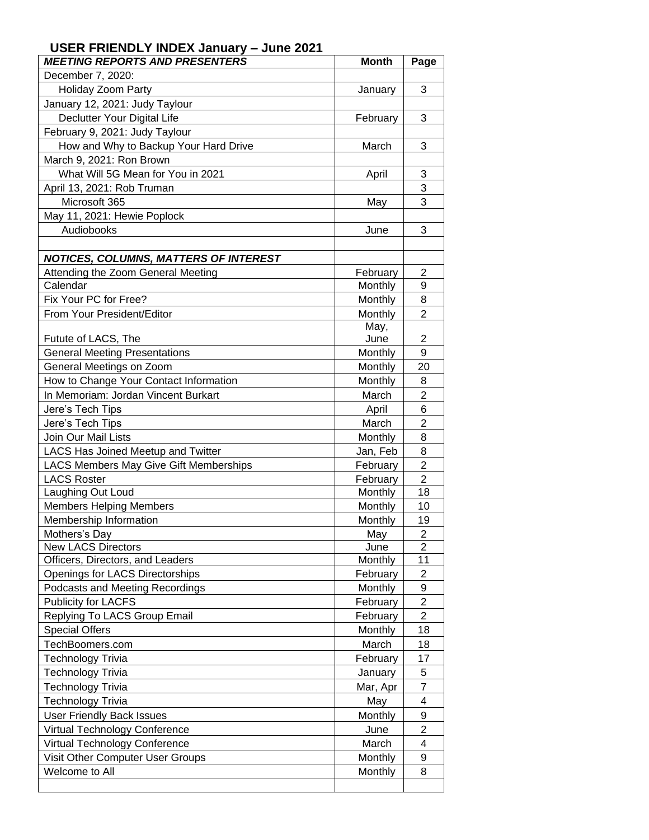## **USER FRIENDLY INDEX January – June 2021**

| <b>MEETING REPORTS AND PRESENTERS</b>                         | <b>Month</b>    | Page                 |
|---------------------------------------------------------------|-----------------|----------------------|
| December 7, 2020:                                             |                 |                      |
| Holiday Zoom Party                                            | January         | 3                    |
| January 12, 2021: Judy Taylour                                |                 |                      |
| Declutter Your Digital Life                                   | February        | 3                    |
| February 9, 2021: Judy Taylour                                |                 |                      |
| How and Why to Backup Your Hard Drive                         | March           | 3                    |
| March 9, 2021: Ron Brown                                      |                 |                      |
| What Will 5G Mean for You in 2021                             | April           | 3                    |
| April 13, 2021: Rob Truman                                    |                 | 3                    |
| Microsoft 365                                                 | May             | 3                    |
| May 11, 2021: Hewie Poplock                                   |                 |                      |
| Audiobooks                                                    | June            | 3                    |
|                                                               |                 |                      |
| <b>NOTICES, COLUMNS, MATTERS OF INTEREST</b>                  |                 |                      |
| Attending the Zoom General Meeting                            | February        | $\overline{2}$       |
| Calendar                                                      | Monthly         | 9                    |
| Fix Your PC for Free?                                         | Monthly         | 8                    |
| From Your President/Editor                                    | Monthly         | $\overline{2}$       |
|                                                               | May,            |                      |
| Futute of LACS, The                                           | June            | 2                    |
| <b>General Meeting Presentations</b>                          | Monthly         | 9                    |
| General Meetings on Zoom                                      | Monthly         | 20                   |
| How to Change Your Contact Information                        | Monthly         | 8                    |
| In Memoriam: Jordan Vincent Burkart                           | March           | $\overline{2}$       |
| Jere's Tech Tips                                              | April           | 6                    |
| Jere's Tech Tips                                              | March           | $\overline{2}$       |
| Join Our Mail Lists                                           | Monthly         | 8                    |
| <b>LACS Has Joined Meetup and Twitter</b>                     | Jan, Feb        | 8                    |
| LACS Members May Give Gift Memberships                        | February        | $\overline{2}$       |
| <b>LACS Roster</b>                                            | February        | $\overline{2}$       |
| Laughing Out Loud                                             | Monthly         | 18                   |
| <b>Members Helping Members</b>                                | Monthly         | 10                   |
| Membership Information                                        | Monthly         | 19                   |
| Mothers's Day                                                 | May             | 2                    |
| <b>New LACS Directors</b><br>Officers, Directors, and Leaders | June<br>Monthly | $\overline{2}$<br>11 |
| Openings for LACS Directorships                               | February        | $\overline{2}$       |
| Podcasts and Meeting Recordings                               | Monthly         | 9                    |
| <b>Publicity for LACFS</b>                                    | February        | $\overline{2}$       |
| Replying To LACS Group Email                                  | February        | $\overline{2}$       |
| <b>Special Offers</b>                                         | Monthly         | 18                   |
| TechBoomers.com                                               | March           | 18                   |
| <b>Technology Trivia</b>                                      |                 | 17                   |
|                                                               | February        | 5                    |
| <b>Technology Trivia</b>                                      | January         | 7                    |
| Technology Trivia<br><b>Technology Trivia</b>                 | Mar, Apr        |                      |
|                                                               | May             | 4                    |
| <b>User Friendly Back Issues</b>                              | Monthly         | 9<br>$\overline{c}$  |
| Virtual Technology Conference                                 | June            |                      |
| Virtual Technology Conference                                 | March           | 4                    |
| Visit Other Computer User Groups<br>Welcome to All            | Monthly         | 9                    |
|                                                               | Monthly         | 8                    |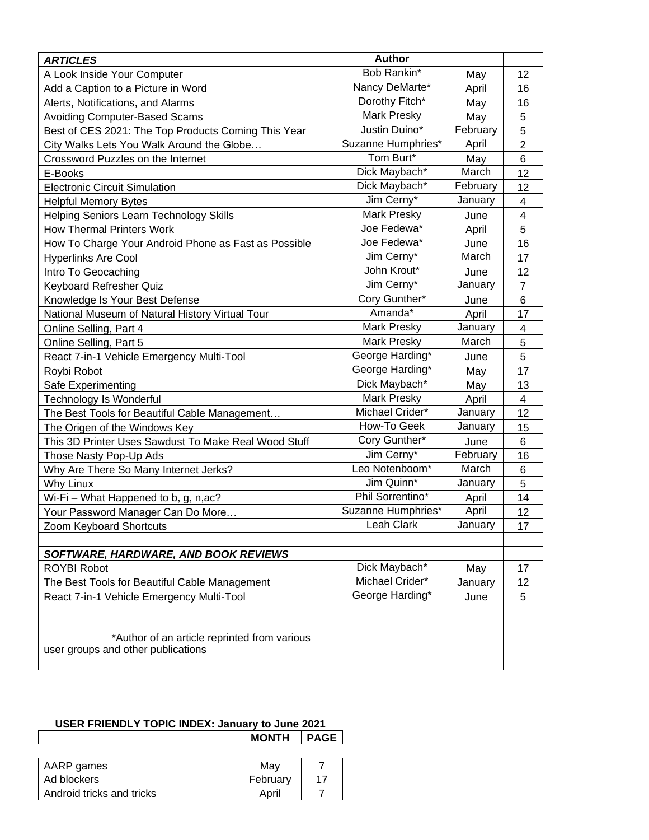| <b>ARTICLES</b>                                      | <b>Author</b>      |          |                         |
|------------------------------------------------------|--------------------|----------|-------------------------|
| A Look Inside Your Computer                          | Bob Rankin*        | May      | 12                      |
| Add a Caption to a Picture in Word                   | Nancy DeMarte*     | April    | 16                      |
| Alerts, Notifications, and Alarms                    | Dorothy Fitch*     | May      | 16                      |
| <b>Avoiding Computer-Based Scams</b>                 | <b>Mark Presky</b> | May      | 5                       |
| Best of CES 2021: The Top Products Coming This Year  | Justin Duino*      | February | 5                       |
| City Walks Lets You Walk Around the Globe            | Suzanne Humphries* | April    | $\overline{2}$          |
| Crossword Puzzles on the Internet                    | Tom Burt*          | May      | 6                       |
| E-Books                                              | Dick Maybach*      | March    | 12                      |
| <b>Electronic Circuit Simulation</b>                 | Dick Maybach*      | February | 12                      |
| <b>Helpful Memory Bytes</b>                          | Jim Cerny*         | January  | $\overline{\mathbf{4}}$ |
| Helping Seniors Learn Technology Skills              | <b>Mark Presky</b> | June     | 4                       |
| <b>How Thermal Printers Work</b>                     | Joe Fedewa*        | April    | 5                       |
| How To Charge Your Android Phone as Fast as Possible | Joe Fedewa*        | June     | 16                      |
| <b>Hyperlinks Are Cool</b>                           | Jim Cerny*         | March    | 17                      |
| Intro To Geocaching                                  | John Krout*        | June     | 12                      |
| Keyboard Refresher Quiz                              | Jim Cerny*         | January  | $\overline{7}$          |
| Knowledge Is Your Best Defense                       | Cory Gunther*      | June     | 6                       |
| National Museum of Natural History Virtual Tour      | Amanda*            | April    | 17                      |
| Online Selling, Part 4                               | Mark Presky        | January  | 4                       |
| Online Selling, Part 5                               | <b>Mark Presky</b> | March    | 5                       |
| React 7-in-1 Vehicle Emergency Multi-Tool            | George Harding*    | June     | 5                       |
| Roybi Robot                                          | George Harding*    | May      | 17                      |
| Safe Experimenting                                   | Dick Maybach*      | May      | 13                      |
| <b>Technology Is Wonderful</b>                       | <b>Mark Presky</b> | April    | $\overline{\mathbf{4}}$ |
| The Best Tools for Beautiful Cable Management        | Michael Crider*    | January  | 12                      |
| The Origen of the Windows Key                        | How-To Geek        | January  | 15                      |
| This 3D Printer Uses Sawdust To Make Real Wood Stuff | Cory Gunther*      | June     | 6                       |
| Those Nasty Pop-Up Ads                               | Jim Cerny*         | February | 16                      |
| Why Are There So Many Internet Jerks?                | Leo Notenboom*     | March    | 6                       |
| Why Linux                                            | Jim Quinn*         | January  | 5                       |
| Wi-Fi - What Happened to b, g, n, ac?                | Phil Sorrentino*   | April    | 14                      |
| Your Password Manager Can Do More                    | Suzanne Humphries* | April    | 12                      |
| Zoom Keyboard Shortcuts                              | Leah Clark         | January  | 17                      |
|                                                      |                    |          |                         |
| SOFTWARE, HARDWARE, AND BOOK REVIEWS                 |                    |          |                         |
| <b>ROYBI Robot</b>                                   | Dick Maybach*      | May      | 17                      |
| The Best Tools for Beautiful Cable Management        | Michael Crider*    | January  | 12                      |
| React 7-in-1 Vehicle Emergency Multi-Tool            | George Harding*    | June     | 5                       |
|                                                      |                    |          |                         |
|                                                      |                    |          |                         |
| *Author of an article reprinted from various         |                    |          |                         |
| user groups and other publications                   |                    |          |                         |
|                                                      |                    |          |                         |

## **USER FRIENDLY TOPIC INDEX: January to June 2021 MONTH PAGE**

| AARP games                | Mav      |  |
|---------------------------|----------|--|
| Ad blockers               | Februarv |  |
| Android tricks and tricks | April    |  |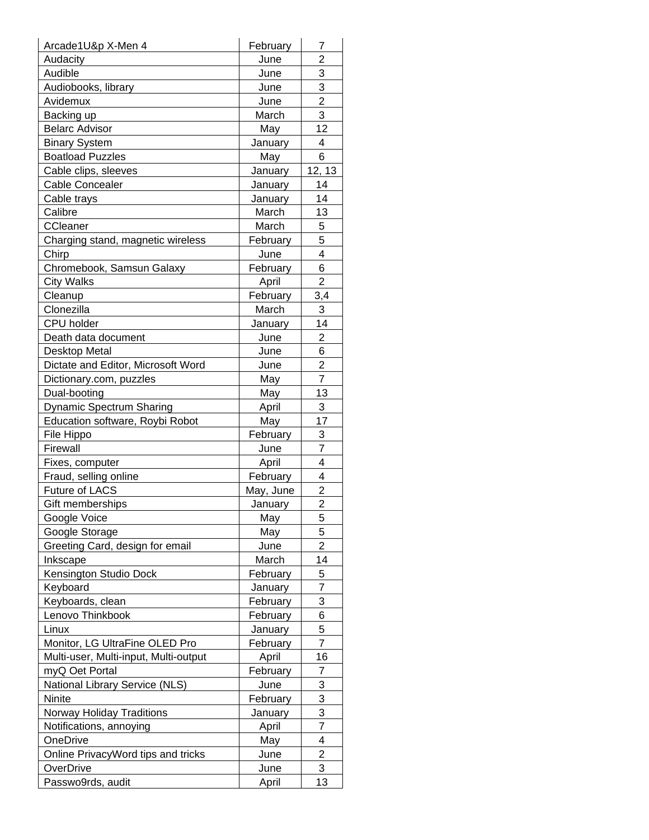| Arcade1U&p X-Men 4                    | February        | 7              |
|---------------------------------------|-----------------|----------------|
| Audacity                              | June            | 2              |
| Audible                               | June            | 3              |
| Audiobooks, library                   | June            | 3              |
| Avidemux                              | June            | $\overline{2}$ |
| Backing up                            | March           | 3              |
| <b>Belarc Advisor</b>                 | May             | 12             |
| <b>Binary System</b>                  | January         | 4              |
| <b>Boatload Puzzles</b>               | May             | 6              |
| Cable clips, sleeves                  | January         | 12, 13         |
| <b>Cable Concealer</b>                | January         | 14             |
| Cable trays                           | January         | 14             |
| Calibre                               | March           | 13             |
| CCleaner                              | March           | 5              |
| Charging stand, magnetic wireless     | February        | 5              |
| Chirp                                 | June            | 4              |
| Chromebook, Samsun Galaxy             | February        | 6              |
| <b>City Walks</b>                     | April           | $\overline{2}$ |
| Cleanup                               | February        | 3,4            |
| Clonezilla                            | March           | 3              |
| <b>CPU</b> holder                     | January         | 14             |
| Death data document                   | June            | $\overline{2}$ |
| Desktop Metal                         | June            | 6              |
| Dictate and Editor, Microsoft Word    | June            | $\overline{2}$ |
| Dictionary.com, puzzles               | May             | 7              |
| Dual-booting                          | May             | 13             |
| <b>Dynamic Spectrum Sharing</b>       | April           | 3              |
| Education software, Roybi Robot       | May             | 17             |
| File Hippo                            | February        | 3              |
| Firewall                              | June            | $\overline{7}$ |
| Fixes, computer                       | April           | 4              |
| Fraud, selling online                 | <b>February</b> | 4              |
| <b>Future of LACS</b>                 | May, June       | $\overline{2}$ |
| Gift memberships                      | January         | $\overline{2}$ |
| Google Voice                          | May             | 5              |
| Google Storage                        | May             | 5              |
| Greeting Card, design for email       | June            | $\overline{2}$ |
| Inkscape                              | March           | 14             |
| Kensington Studio Dock                | February        | 5              |
| Keyboard                              | January         | 7              |
| Keyboards, clean                      | February        | 3              |
| Lenovo Thinkbook                      | February        | 6              |
| Linux                                 | January         | 5              |
| Monitor, LG UltraFine OLED Pro        | February        | $\overline{7}$ |
| Multi-user, Multi-input, Multi-output | April           | 16             |
| myQ Oet Portal                        | February        | 7              |
| National Library Service (NLS)        | June            | 3              |
| Ninite                                | February        | 3              |
| Norway Holiday Traditions             | January         | 3              |
| Notifications, annoying               | April           | $\overline{7}$ |
| OneDrive                              | May             | 4              |
| Online PrivacyWord tips and tricks    | June            | $\overline{2}$ |
| OverDrive                             | June            | 3              |
| Passwo9rds, audit                     | April           | 13             |